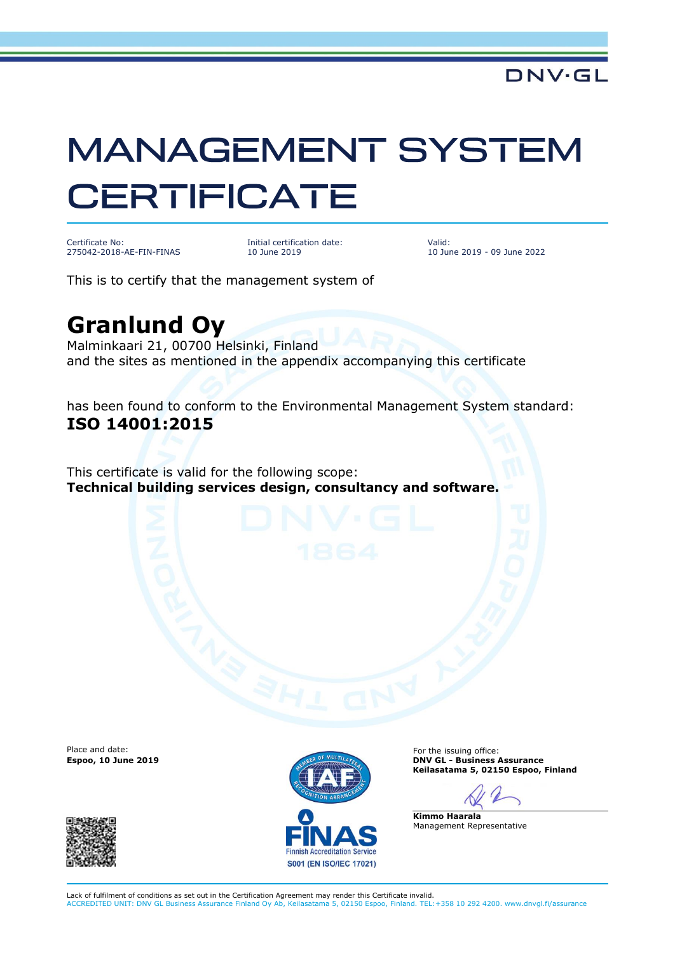## **MANAGEMENT SYSTEM CERTIFICATE**

Certificate No: 275042-2018-AE-FIN-FINAS Initial certification date: 10 June 2019

Valid: 10 June 2019 - 09 June 2022

This is to certify that the management system of

## **Granlund Oy**

Malminkaari 21, 00700 Helsinki, Finland and the sites as mentioned in the appendix accompanying this certificate

has been found to conform to the Environmental Management System standard: **ISO 14001:2015**

This certificate is valid for the following scope: **Technical building services design, consultancy and software.**

Place and date:





For the issuing office: **Espoo, 10 June 2019 DNV GL - Business Assurance Keilasatama 5, 02150 Espoo, Finland**

**Kimmo Haarala** Management Representative

Lack of fulfilment of conditions as set out in the Certification Agreement may render this Certificate invalid. ACCREDITED UNIT: DNV GL Business Assurance Finland Oy Ab, Keilasatama 5, 02150 Espoo, Finland. TEL:+358 10 292 4200. www.dnvgl.fi/assurance